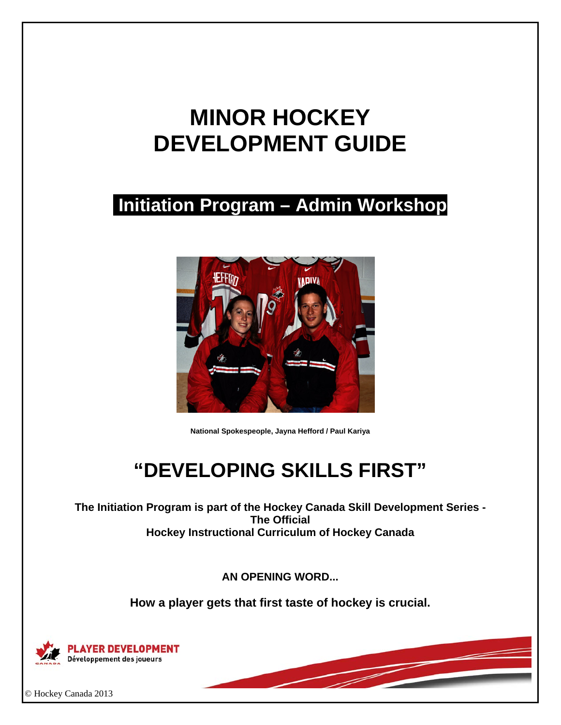# **MINOR HOCKEY DEVELOPMENT GUIDE**

## **Initiation Program – Admin Workshop**



**National Spokespeople, Jayna Hefford / Paul Kariya** 

## **"DEVELOPING SKILLS FIRST"**

**The Initiation Program is part of the Hockey Canada Skill Development Series - The Official Hockey Instructional Curriculum of Hockey Canada** 

**AN OPENING WORD...** 

**How a player gets that first taste of hockey is crucial.** 



© Hockey Canada 2013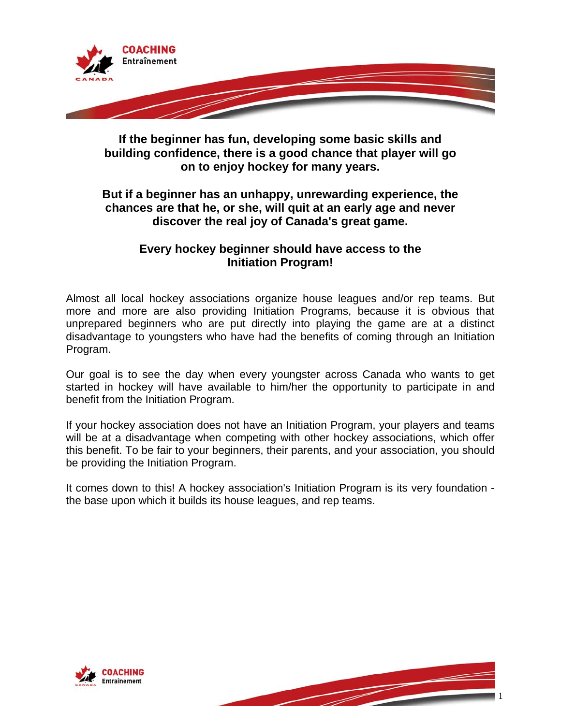

**If the beginner has fun, developing some basic skills and building confidence, there is a good chance that player will go on to enjoy hockey for many years.** 

## **But if a beginner has an unhappy, unrewarding experience, the chances are that he, or she, will quit at an early age and never discover the real joy of Canada's great game.**

### **Every hockey beginner should have access to the Initiation Program!**

Almost all local hockey associations organize house leagues and/or rep teams. But more and more are also providing Initiation Programs, because it is obvious that unprepared beginners who are put directly into playing the game are at a distinct disadvantage to youngsters who have had the benefits of coming through an Initiation Program.

Our goal is to see the day when every youngster across Canada who wants to get started in hockey will have available to him/her the opportunity to participate in and benefit from the Initiation Program.

If your hockey association does not have an Initiation Program, your players and teams will be at a disadvantage when competing with other hockey associations, which offer this benefit. To be fair to your beginners, their parents, and your association, you should be providing the Initiation Program.

It comes down to this! A hockey association's Initiation Program is its very foundation the base upon which it builds its house leagues, and rep teams.



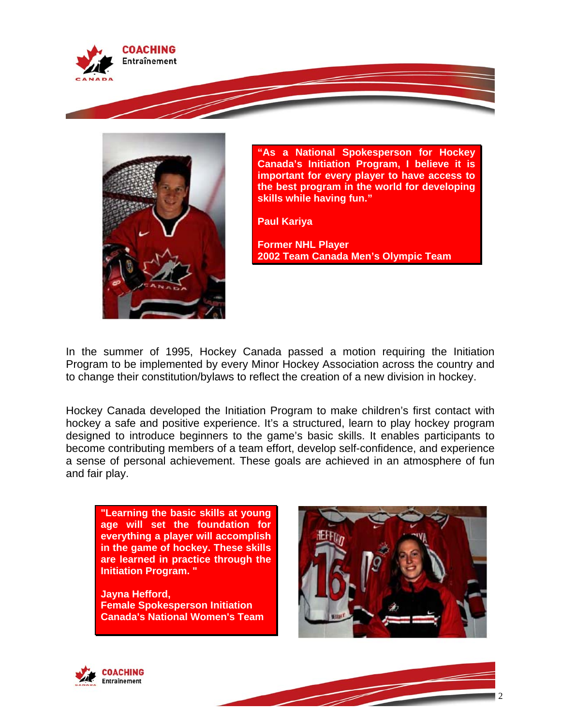



**"As a National Spokesperson for Hockey Canada's Initiation Program, I believe it is important for every player to have access to the best program in the world for developing skills while having fun."** 

**Paul Kariya** 

**Former NHL Player 2002 Team Canada Men's Olympic Team** 

In the summer of 1995, Hockey Canada passed a motion requiring the Initiation Program to be implemented by every Minor Hockey Association across the country and to change their constitution/bylaws to reflect the creation of a new division in hockey.

Hockey Canada developed the Initiation Program to make children's first contact with hockey a safe and positive experience. It's a structured, learn to play hockey program designed to introduce beginners to the game's basic skills. It enables participants to become contributing members of a team effort, develop self-confidence, and experience a sense of personal achievement. These goals are achieved in an atmosphere of fun and fair play.

**"Learning the basic skills at young age will set the foundation for everything a player will accomplish in the game of hockey. These skills are learned in practice through the Initiation Program. "** 

**Jayna Hefford, Female Spokesperson Initiation Canada's National Women's Team**





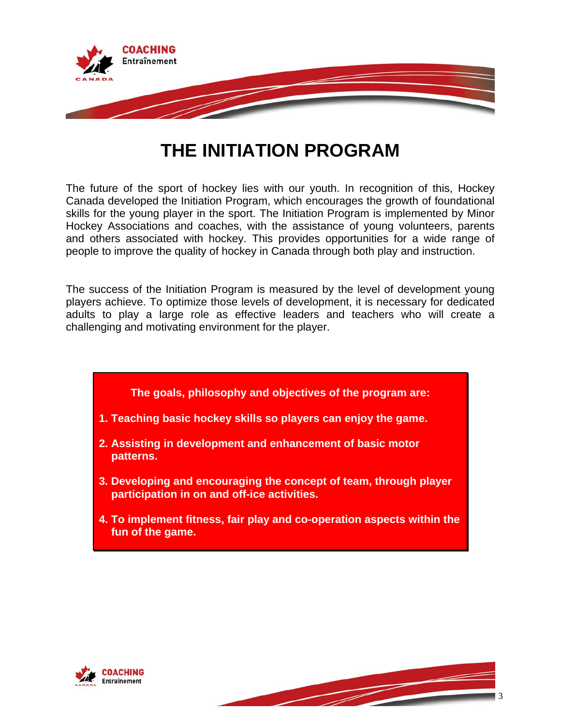

## **THE INITIATION PROGRAM**

The future of the sport of hockey lies with our youth. In recognition of this, Hockey Canada developed the Initiation Program, which encourages the growth of foundational skills for the young player in the sport. The Initiation Program is implemented by Minor Hockey Associations and coaches, with the assistance of young volunteers, parents and others associated with hockey. This provides opportunities for a wide range of people to improve the quality of hockey in Canada through both play and instruction.

The success of the Initiation Program is measured by the level of development young players achieve. To optimize those levels of development, it is necessary for dedicated adults to play a large role as effective leaders and teachers who will create a challenging and motivating environment for the player.

- **The goals, philosophy and objectives of the program are:**
- **1. Teaching basic hockey skills so players can enjoy the game.**
- **2. Assisting in development and enhancement of basic motor patterns.**
- **3. Developing and encouraging the concept of team, through player participation in on and off-ice activities.**
- **4. To implement fitness, fair play and co-operation aspects within the fun of the game.**



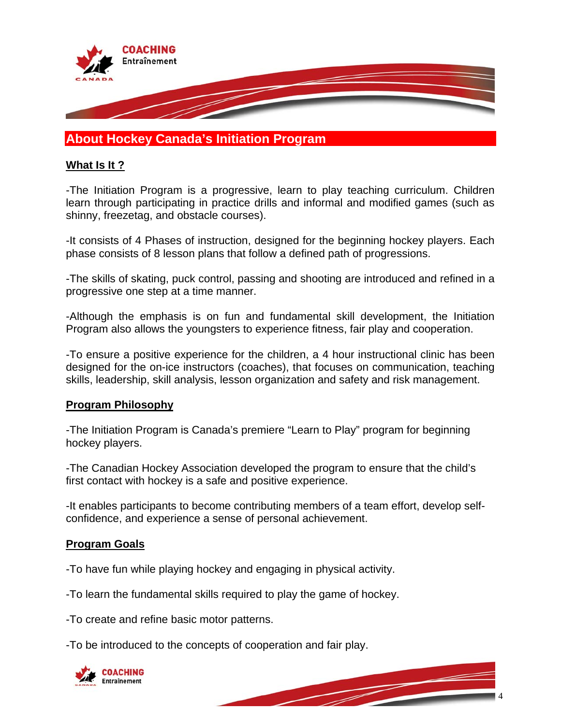

## **About Hockey Canada's Initiation Program**

#### **What Is It ?**

-The Initiation Program is a progressive, learn to play teaching curriculum. Children learn through participating in practice drills and informal and modified games (such as shinny, freezetag, and obstacle courses).

-It consists of 4 Phases of instruction, designed for the beginning hockey players. Each phase consists of 8 lesson plans that follow a defined path of progressions.

-The skills of skating, puck control, passing and shooting are introduced and refined in a progressive one step at a time manner.

-Although the emphasis is on fun and fundamental skill development, the Initiation Program also allows the youngsters to experience fitness, fair play and cooperation.

-To ensure a positive experience for the children, a 4 hour instructional clinic has been designed for the on-ice instructors (coaches), that focuses on communication, teaching skills, leadership, skill analysis, lesson organization and safety and risk management.

#### **Program Philosophy**

-The Initiation Program is Canada's premiere "Learn to Play" program for beginning hockey players.

-The Canadian Hockey Association developed the program to ensure that the child's first contact with hockey is a safe and positive experience.

-It enables participants to become contributing members of a team effort, develop selfconfidence, and experience a sense of personal achievement.

#### **Program Goals**

-To have fun while playing hockey and engaging in physical activity.

-To learn the fundamental skills required to play the game of hockey.

-To create and refine basic motor patterns.

-To be introduced to the concepts of cooperation and fair play.

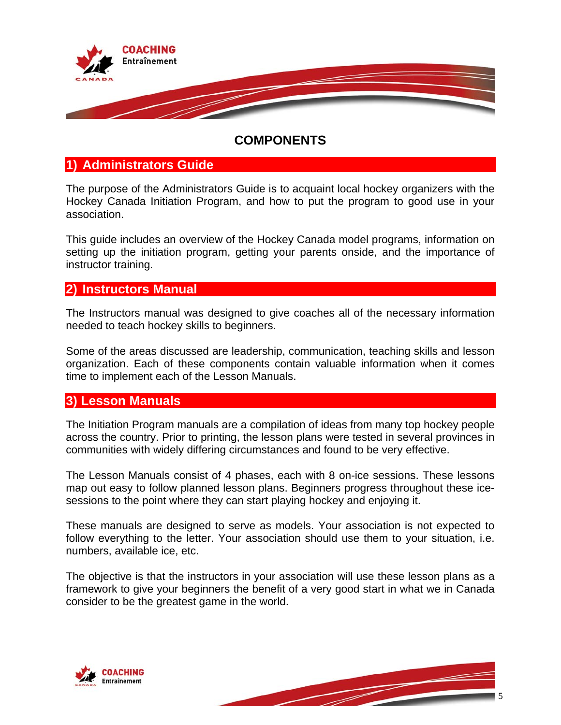

## **COMPONENTS**

## **1) Administrators Guide**

The purpose of the Administrators Guide is to acquaint local hockey organizers with the Hockey Canada Initiation Program, and how to put the program to good use in your association.

This guide includes an overview of the Hockey Canada model programs, information on setting up the initiation program, getting your parents onside, and the importance of instructor training.

### **2) Instructors Manual**

The Instructors manual was designed to give coaches all of the necessary information needed to teach hockey skills to beginners.

Some of the areas discussed are leadership, communication, teaching skills and lesson organization. Each of these components contain valuable information when it comes time to implement each of the Lesson Manuals.

## **3) Lesson Manuals**

The Initiation Program manuals are a compilation of ideas from many top hockey people across the country. Prior to printing, the lesson plans were tested in several provinces in communities with widely differing circumstances and found to be very effective.

The Lesson Manuals consist of 4 phases, each with 8 on-ice sessions. These lessons map out easy to follow planned lesson plans. Beginners progress throughout these icesessions to the point where they can start playing hockey and enjoying it.

These manuals are designed to serve as models. Your association is not expected to follow everything to the letter. Your association should use them to your situation, i.e. numbers, available ice, etc.

The objective is that the instructors in your association will use these lesson plans as a framework to give your beginners the benefit of a very good start in what we in Canada consider to be the greatest game in the world.



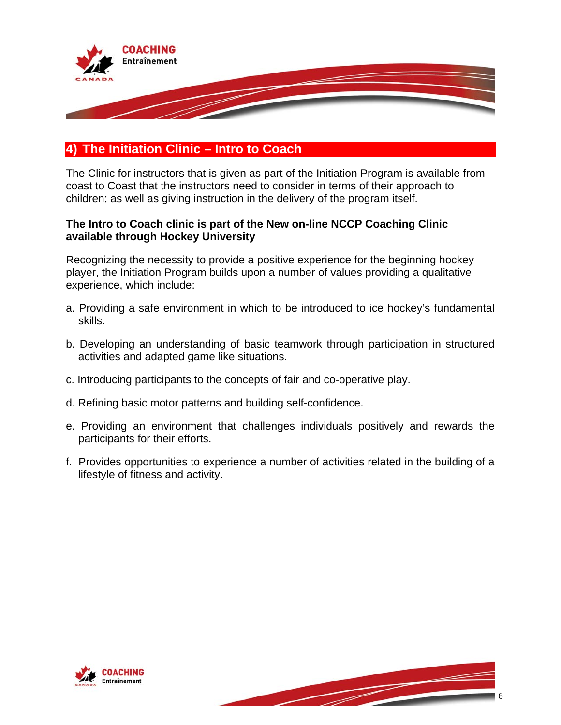

## **4) The Initiation Clinic – Intro to Coach**

The Clinic for instructors that is given as part of the Initiation Program is available from coast to Coast that the instructors need to consider in terms of their approach to children; as well as giving instruction in the delivery of the program itself.

#### **The Intro to Coach clinic is part of the New on-line NCCP Coaching Clinic available through Hockey University**

Recognizing the necessity to provide a positive experience for the beginning hockey player, the Initiation Program builds upon a number of values providing a qualitative experience, which include:

- a. Providing a safe environment in which to be introduced to ice hockey's fundamental skills.
- b. Developing an understanding of basic teamwork through participation in structured activities and adapted game like situations.
- c. Introducing participants to the concepts of fair and co-operative play.
- d. Refining basic motor patterns and building self-confidence.
- e. Providing an environment that challenges individuals positively and rewards the participants for their efforts.
- f. Provides opportunities to experience a number of activities related in the building of a lifestyle of fitness and activity.